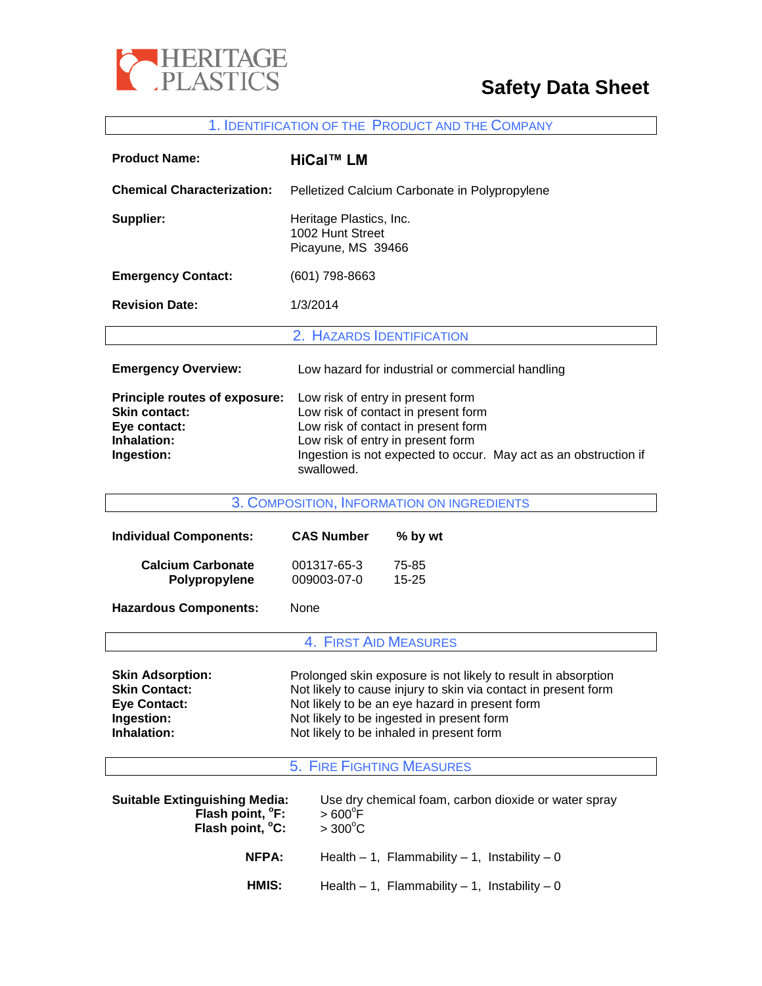

# **Safety Data Sheet**

#### 1. IDENTIFICATION OF THE PRODUCT AND THE COMPANY

| <b>Product Name:</b>                                                                                      | HiCal™ LM                                                                                                                                                                                                                              |
|-----------------------------------------------------------------------------------------------------------|----------------------------------------------------------------------------------------------------------------------------------------------------------------------------------------------------------------------------------------|
| <b>Chemical Characterization:</b>                                                                         | Pelletized Calcium Carbonate in Polypropylene                                                                                                                                                                                          |
| Supplier:                                                                                                 | Heritage Plastics, Inc.<br>1002 Hunt Street<br>Picayune, MS 39466                                                                                                                                                                      |
| <b>Emergency Contact:</b>                                                                                 | (601) 798-8663                                                                                                                                                                                                                         |
| <b>Revision Date:</b>                                                                                     | 1/3/2014                                                                                                                                                                                                                               |
|                                                                                                           | 2. HAZARDS IDENTIFICATION                                                                                                                                                                                                              |
| <b>Emergency Overview:</b>                                                                                | Low hazard for industrial or commercial handling                                                                                                                                                                                       |
| <b>Principle routes of exposure:</b><br><b>Skin contact:</b><br>Eye contact:<br>Inhalation:<br>Ingestion: | Low risk of entry in present form<br>Low risk of contact in present form<br>Low risk of contact in present form<br>Low risk of entry in present form<br>Ingestion is not expected to occur. May act as an obstruction if<br>swallowed. |

3. COMPOSITION, INFORMATION ON INGREDIENTS **Individual Components: CAS Number % by wt Calcium Carbonate** 001317-65-3 75-85 **Polypropylene** 009003-07-0 15-25 **Hazardous Components:** None 4. FIRST AID MEASURES **Skin Adsorption:** Prolonged skin exposure is not likely to result in absorption<br>**Skin Contact: Not likely to cause injury to skin via contact in present form Skin Contact:** Not likely to cause injury to skin via contact in present form **Eye Contact:** Not likely to be an eye hazard in present form<br> **Ingestion:** Not likely to be ingested in present form **Ingestion:** Not likely to be ingested in present form<br> **Inhalation:** Not likely to be inhaled in present form Not likely to be inhaled in present form 5. FIRE FIGHTING MEASURES **Suitable Extinguishing Media:** Use dry chemical foam, carbon dioxide or water spray  **Flash point, <sup>o</sup> F:**  $> 600^{\circ}$ F **Flash point, °C:**  $> 300^{\circ}$ C  **NFPA:** Health – 1, Flammability – 1, Instability – 0

**HMIS:** Health – 1, Flammability – 1, Instability – 0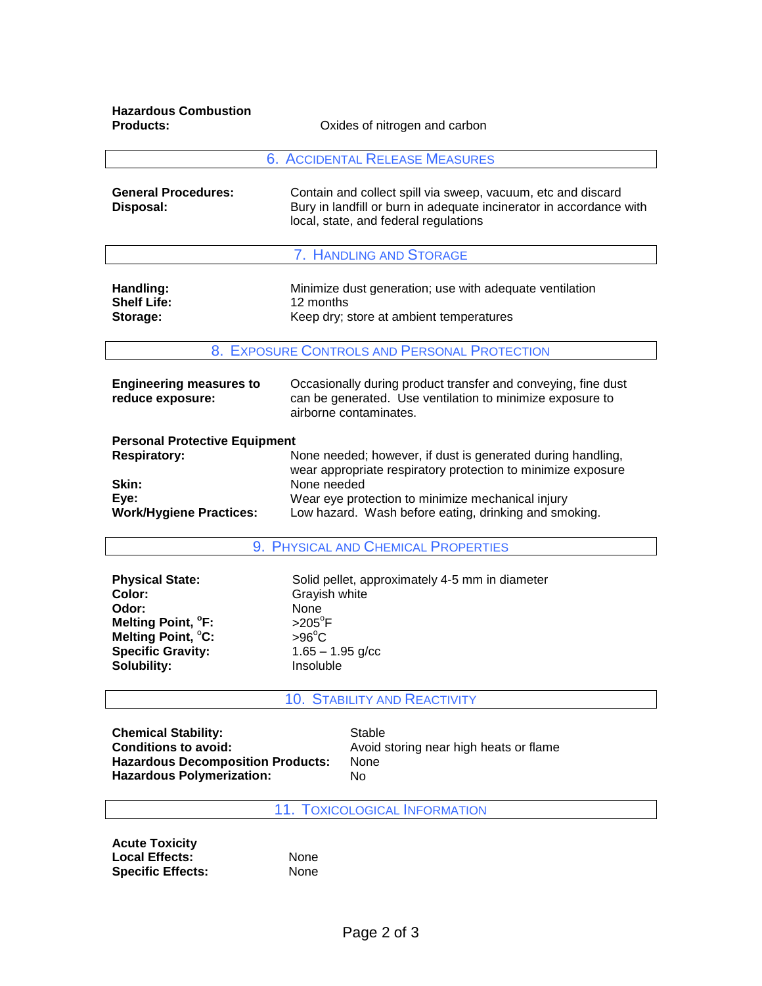**Hazardous Combustion** 

**Pxides of nitrogen and carbon** 

| <b>6. ACCIDENTAL RELEASE MEASURES</b>                                                                          |                                                                                                                                                                                                                                                          |  |
|----------------------------------------------------------------------------------------------------------------|----------------------------------------------------------------------------------------------------------------------------------------------------------------------------------------------------------------------------------------------------------|--|
| <b>General Procedures:</b><br>Disposal:                                                                        | Contain and collect spill via sweep, vacuum, etc and discard<br>Bury in landfill or burn in adequate incinerator in accordance with<br>local, state, and federal regulations                                                                             |  |
|                                                                                                                | 7. HANDLING AND STORAGE                                                                                                                                                                                                                                  |  |
| Handling:<br><b>Shelf Life:</b><br>Storage:                                                                    | Minimize dust generation; use with adequate ventilation<br>12 months<br>Keep dry; store at ambient temperatures                                                                                                                                          |  |
| 8. EXPOSURE CONTROLS AND PERSONAL PROTECTION                                                                   |                                                                                                                                                                                                                                                          |  |
| <b>Engineering measures to</b><br>reduce exposure:                                                             | Occasionally during product transfer and conveying, fine dust<br>can be generated. Use ventilation to minimize exposure to<br>airborne contaminates.                                                                                                     |  |
| <b>Personal Protective Equipment</b><br><b>Respiratory:</b><br>Skin:<br>Eye:<br><b>Work/Hygiene Practices:</b> | None needed; however, if dust is generated during handling,<br>wear appropriate respiratory protection to minimize exposure<br>None needed<br>Wear eye protection to minimize mechanical injury<br>Low hazard. Wash before eating, drinking and smoking. |  |

9. PHYSICAL AND CHEMICAL PROPERTIES

| <b>Physical State:</b>         | Solid pellet, approximately 4-5 mm in diameter |
|--------------------------------|------------------------------------------------|
| Color:                         | Grayish white                                  |
| Odor:                          | None                                           |
| Melting Point, <sup>o</sup> F: | $>205^{\circ}$ F                               |
| Melting Point, °C:             | $>96^{\circ}$ C                                |
| <b>Specific Gravity:</b>       | $1.65 - 1.95$ g/cc                             |
| Solubility:                    | Insoluble                                      |

## 10. STABILITY AND REACTIVITY

**Chemical Stability:**<br> **Conditions to avoid:**<br>
Avoid s **Hazardous Decomposition Products: Hazardous Polymerization:** No

Avoid storing near high heats or flame<br>None

11. TOXICOLOGICAL INFORMATION

**Acute Toxicity** Local Effects: None **Specific Effects:** None